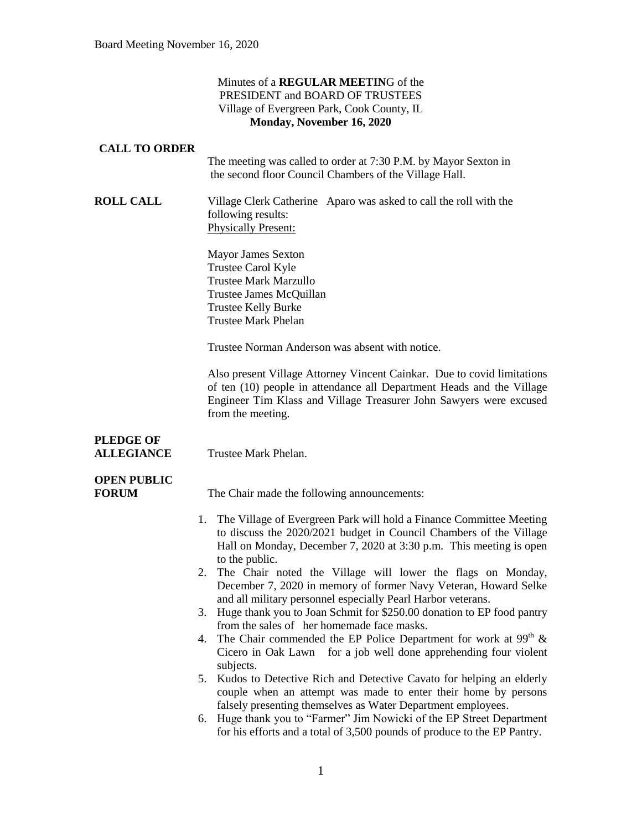#### Minutes of a **REGULAR MEETIN**G of the PRESIDENT and BOARD OF TRUSTEES Village of Evergreen Park, Cook County, IL **Monday, November 16, 2020**

#### **CALL TO ORDER**

The meeting was called to order at 7:30 P.M. by Mayor Sexton in the second floor Council Chambers of the Village Hall.

**ROLL CALL** Village Clerk Catherine Aparo was asked to call the roll with the following results: Physically Present:

> Mayor James Sexton Trustee Carol Kyle Trustee Mark Marzullo Trustee James McQuillan Trustee Kelly Burke Trustee Mark Phelan

Trustee Norman Anderson was absent with notice.

Also present Village Attorney Vincent Cainkar. Due to covid limitations of ten (10) people in attendance all Department Heads and the Village Engineer Tim Klass and Village Treasurer John Sawyers were excused from the meeting.

## **PLEDGE OF ALLEGIANCE** Trustee Mark Phelan.

# **OPEN PUBLIC**

**FORUM** The Chair made the following announcements:

- 1. The Village of Evergreen Park will hold a Finance Committee Meeting to discuss the 2020/2021 budget in Council Chambers of the Village Hall on Monday, December 7, 2020 at 3:30 p.m. This meeting is open to the public.
- 2. The Chair noted the Village will lower the flags on Monday, December 7, 2020 in memory of former Navy Veteran, Howard Selke and all military personnel especially Pearl Harbor veterans.
- 3. Huge thank you to Joan Schmit for \$250.00 donation to EP food pantry from the sales of her homemade face masks.
- 4. The Chair commended the EP Police Department for work at  $99<sup>th</sup>$  & Cicero in Oak Lawn for a job well done apprehending four violent subjects.
- 5. Kudos to Detective Rich and Detective Cavato for helping an elderly couple when an attempt was made to enter their home by persons falsely presenting themselves as Water Department employees.
- 6. Huge thank you to "Farmer" Jim Nowicki of the EP Street Department for his efforts and a total of 3,500 pounds of produce to the EP Pantry.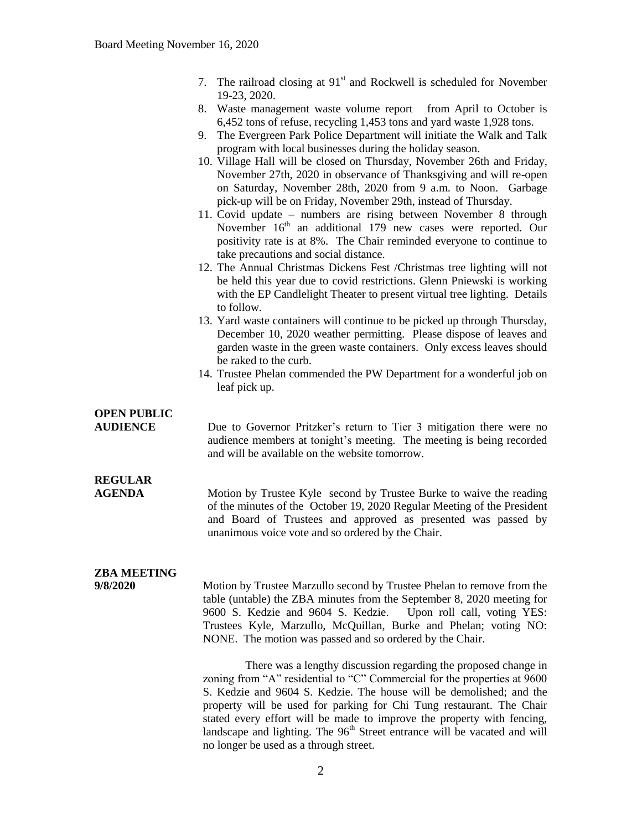- 7. The railroad closing at  $91<sup>st</sup>$  and Rockwell is scheduled for November 19-23, 2020.
- 8. Waste management waste volume report from April to October is 6,452 tons of refuse, recycling 1,453 tons and yard waste 1,928 tons.
- 9. The Evergreen Park Police Department will initiate the Walk and Talk program with local businesses during the holiday season.
- 10. Village Hall will be closed on Thursday, November 26th and Friday, November 27th, 2020 in observance of Thanksgiving and will re-open on Saturday, November 28th, 2020 from 9 a.m. to Noon. Garbage pick-up will be on Friday, November 29th, instead of Thursday.
- 11. Covid update numbers are rising between November 8 through November 16<sup>th</sup> an additional 179 new cases were reported. Our positivity rate is at 8%. The Chair reminded everyone to continue to take precautions and social distance.
- 12. The Annual Christmas Dickens Fest /Christmas tree lighting will not be held this year due to covid restrictions. Glenn Pniewski is working with the EP Candlelight Theater to present virtual tree lighting. Details to follow.
- 13. Yard waste containers will continue to be picked up through Thursday, December 10, 2020 weather permitting. Please dispose of leaves and garden waste in the green waste containers. Only excess leaves should be raked to the curb.
- 14. Trustee Phelan commended the PW Department for a wonderful job on leaf pick up.

## **OPEN PUBLIC**

**AUDIENCE** Due to Governor Pritzker's return to Tier 3 mitigation there were no audience members at tonight's meeting. The meeting is being recorded and will be available on the website tomorrow.

# **REGULAR**

**AGENDA** Motion by Trustee Kyle second by Trustee Burke to waive the reading of the minutes of the October 19, 2020 Regular Meeting of the President and Board of Trustees and approved as presented was passed by unanimous voice vote and so ordered by the Chair.

## **ZBA MEETING**

**9/8/2020** Motion by Trustee Marzullo second by Trustee Phelan to remove from the table (untable) the ZBA minutes from the September 8, 2020 meeting for 9600 S. Kedzie and 9604 S. Kedzie. Upon roll call, voting YES: Trustees Kyle, Marzullo, McQuillan, Burke and Phelan; voting NO: NONE. The motion was passed and so ordered by the Chair.

> There was a lengthy discussion regarding the proposed change in zoning from "A" residential to "C" Commercial for the properties at 9600 S. Kedzie and 9604 S. Kedzie. The house will be demolished; and the property will be used for parking for Chi Tung restaurant. The Chair stated every effort will be made to improve the property with fencing, landscape and lighting. The  $96<sup>th</sup>$  Street entrance will be vacated and will no longer be used as a through street.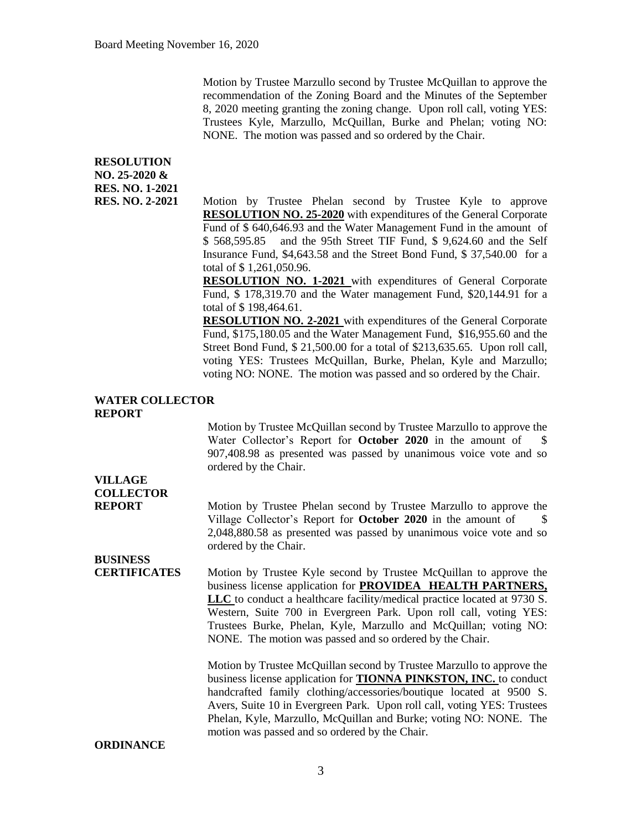Motion by Trustee Marzullo second by Trustee McQuillan to approve the recommendation of the Zoning Board and the Minutes of the September 8, 2020 meeting granting the zoning change. Upon roll call, voting YES: Trustees Kyle, Marzullo, McQuillan, Burke and Phelan; voting NO: NONE. The motion was passed and so ordered by the Chair.

## **RESOLUTION NO. 25-2020 & RES. NO. 1-2021**

**RES. NO. 2-2021** Motion by Trustee Phelan second by Trustee Kyle to approve **RESOLUTION NO. 25-2020** with expenditures of the General Corporate Fund of \$ 640,646.93 and the Water Management Fund in the amount of \$ 568,595.85 and the 95th Street TIF Fund, \$ 9,624.60 and the Self Insurance Fund, \$4,643.58 and the Street Bond Fund, \$ 37,540.00 for a total of \$ 1,261,050.96.

> **RESOLUTION NO. 1-2021** with expenditures of General Corporate Fund, \$ 178,319.70 and the Water management Fund, \$20,144.91 for a total of \$ 198,464.61.

> **RESOLUTION NO. 2-2021** with expenditures of the General Corporate Fund, \$175,180.05 and the Water Management Fund, \$16,955.60 and the Street Bond Fund, \$ 21,500.00 for a total of \$213,635.65. Upon roll call, voting YES: Trustees McQuillan, Burke, Phelan, Kyle and Marzullo; voting NO: NONE. The motion was passed and so ordered by the Chair.

#### **WATER COLLECTOR REPORT**

Motion by Trustee McQuillan second by Trustee Marzullo to approve the Water Collector's Report for **October 2020** in the amount of 907,408.98 as presented was passed by unanimous voice vote and so ordered by the Chair.

# **VILLAGE COLLECTOR**

**REPORT** Motion by Trustee Phelan second by Trustee Marzullo to approve the Village Collector's Report for **October 2020** in the amount of \$ 2,048,880.58 as presented was passed by unanimous voice vote and so ordered by the Chair.

# **BUSINESS**

**CERTIFICATES** Motion by Trustee Kyle second by Trustee McQuillan to approve the business license application for **PROVIDEA HEALTH PARTNERS, LLC** to conduct a healthcare facility/medical practice located at 9730 S. Western, Suite 700 in Evergreen Park. Upon roll call, voting YES: Trustees Burke, Phelan, Kyle, Marzullo and McQuillan; voting NO: NONE. The motion was passed and so ordered by the Chair.

> Motion by Trustee McQuillan second by Trustee Marzullo to approve the business license application for **TIONNA PINKSTON, INC.** to conduct handcrafted family clothing/accessories/boutique located at 9500 S. Avers, Suite 10 in Evergreen Park. Upon roll call, voting YES: Trustees Phelan, Kyle, Marzullo, McQuillan and Burke; voting NO: NONE. The motion was passed and so ordered by the Chair.

#### **ORDINANCE**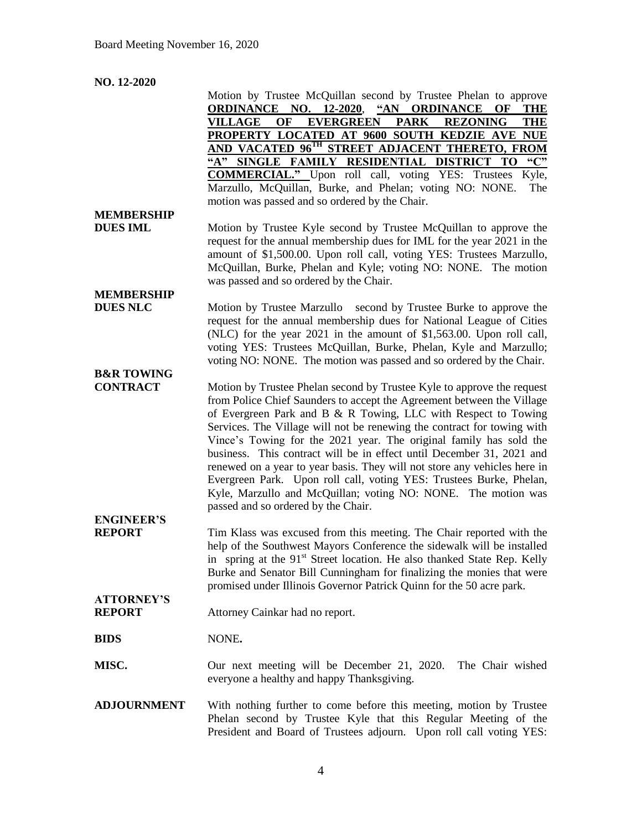## **NO. 12-2020**

|                       | Motion by Trustee McQuillan second by Trustee Phelan to approve                                                                                             |
|-----------------------|-------------------------------------------------------------------------------------------------------------------------------------------------------------|
|                       | <b>ORDINANCE NO. 12-2020,</b><br>"AN ORDINANCE OF<br><b>THE</b><br>OF<br><b>EVERGREEN</b><br><b>PARK</b><br><b>VILLAGE</b><br><b>REZONING</b><br><b>THE</b> |
|                       | PROPERTY LOCATED AT 9600 SOUTH KEDZIE AVE NUE                                                                                                               |
|                       | AND VACATED 96 <sup>TH</sup> STREET ADJACENT THERETO, FROM                                                                                                  |
|                       | $\mathbf{C}$<br>"A" SINGLE FAMILY RESIDENTIAL DISTRICT TO                                                                                                   |
|                       | <b>COMMERCIAL."</b> Upon roll call, voting YES: Trustees<br>Kyle,                                                                                           |
|                       | Marzullo, McQuillan, Burke, and Phelan; voting NO: NONE.<br>The                                                                                             |
|                       | motion was passed and so ordered by the Chair.                                                                                                              |
| <b>MEMBERSHIP</b>     |                                                                                                                                                             |
| <b>DUES IML</b>       | Motion by Trustee Kyle second by Trustee McQuillan to approve the                                                                                           |
|                       | request for the annual membership dues for IML for the year 2021 in the                                                                                     |
|                       | amount of \$1,500.00. Upon roll call, voting YES: Trustees Marzullo,                                                                                        |
|                       | McQuillan, Burke, Phelan and Kyle; voting NO: NONE. The motion                                                                                              |
|                       | was passed and so ordered by the Chair.                                                                                                                     |
| <b>MEMBERSHIP</b>     |                                                                                                                                                             |
| <b>DUES NLC</b>       | Motion by Trustee Marzullo second by Trustee Burke to approve the                                                                                           |
|                       | request for the annual membership dues for National League of Cities                                                                                        |
|                       | (NLC) for the year 2021 in the amount of \$1,563.00. Upon roll call,                                                                                        |
|                       | voting YES: Trustees McQuillan, Burke, Phelan, Kyle and Marzullo;                                                                                           |
|                       | voting NO: NONE. The motion was passed and so ordered by the Chair.                                                                                         |
| <b>B&amp;R TOWING</b> |                                                                                                                                                             |
| <b>CONTRACT</b>       | Motion by Trustee Phelan second by Trustee Kyle to approve the request                                                                                      |
|                       | from Police Chief Saunders to accept the Agreement between the Village                                                                                      |
|                       | of Evergreen Park and B & R Towing, LLC with Respect to Towing                                                                                              |
|                       | Services. The Village will not be renewing the contract for towing with                                                                                     |
|                       | Vince's Towing for the 2021 year. The original family has sold the                                                                                          |
|                       | business. This contract will be in effect until December 31, 2021 and                                                                                       |
|                       | renewed on a year to year basis. They will not store any vehicles here in                                                                                   |
|                       | Evergreen Park. Upon roll call, voting YES: Trustees Burke, Phelan,                                                                                         |
|                       | Kyle, Marzullo and McQuillan; voting NO: NONE. The motion was                                                                                               |
|                       | passed and so ordered by the Chair.                                                                                                                         |
| <b>ENGINEER'S</b>     |                                                                                                                                                             |
| <b>REPORT</b>         | Tim Klass was excused from this meeting. The Chair reported with the                                                                                        |
|                       | help of the Southwest Mayors Conference the sidewalk will be installed                                                                                      |
|                       | in spring at the 91 <sup>st</sup> Street location. He also thanked State Rep. Kelly                                                                         |
|                       | Burke and Senator Bill Cunningham for finalizing the monies that were                                                                                       |
|                       | promised under Illinois Governor Patrick Quinn for the 50 acre park.                                                                                        |
| <b>ATTORNEY'S</b>     |                                                                                                                                                             |
| <b>REPORT</b>         | Attorney Cainkar had no report.                                                                                                                             |
|                       |                                                                                                                                                             |
| <b>BIDS</b>           | NONE.                                                                                                                                                       |
|                       |                                                                                                                                                             |
| MISC.                 | Our next meeting will be December 21, 2020.<br>The Chair wished                                                                                             |
|                       | everyone a healthy and happy Thanksgiving.                                                                                                                  |
|                       |                                                                                                                                                             |
| <b>ADJOURNMENT</b>    | With nothing further to come before this meeting, motion by Trustee                                                                                         |
|                       | Phelan second by Trustee Kyle that this Regular Meeting of the                                                                                              |
|                       | President and Board of Trustees adjourn. Upon roll call voting YES:                                                                                         |